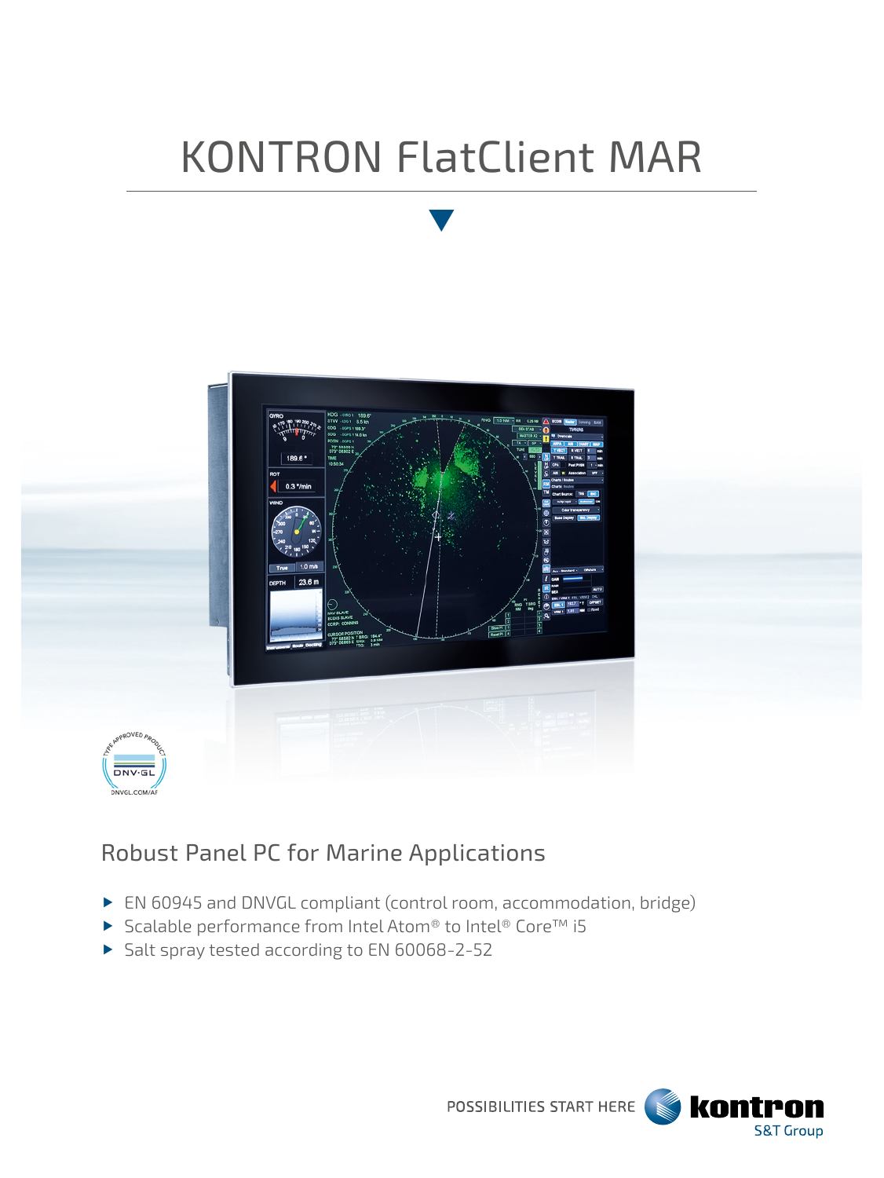# KONTRON FlatClient MAR



## Robust Panel PC for Marine Applications

- ▶ EN 60945 and DNVGL compliant (control room, accommodation, bridge)
- ▶ Scalable performance from Intel Atom® to Intel® Core™ i5
- Salt spray tested according to EN 60068-2-52